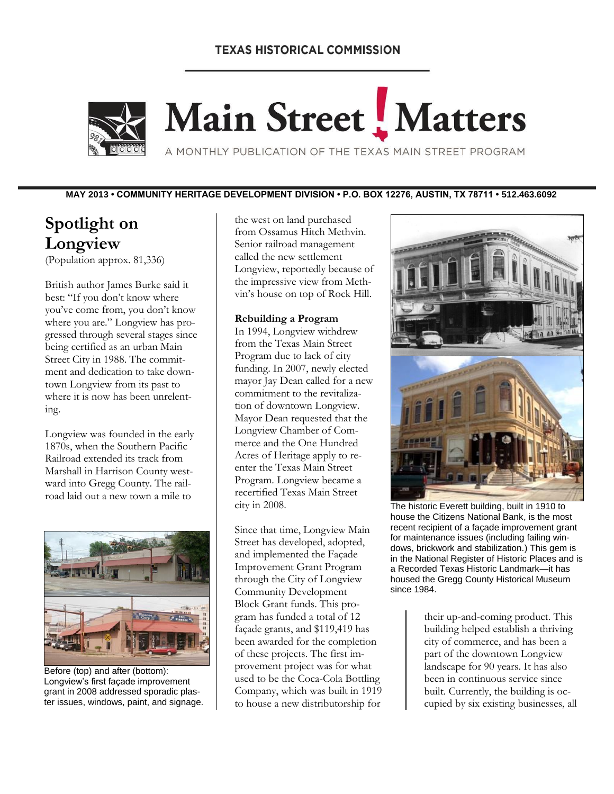# **TEXAS HISTORICAL COMMISSION**



# Main Street Matters

A MONTHLY PUBLICATION OF THE TEXAS MAIN STREET PROGRAM

**MAY 2013 • COMMUNITY HERITAGE DEVELOPMENT DIVISION • P.O. BOX 12276, AUSTIN, TX 78711 • 512.463.6092**

# **Spotlight on Longview**

(Population approx. 81,336)

British author James Burke said it best: "If you don't know where you've come from, you don't know where you are." Longview has progressed through several stages since being certified as an urban Main Street City in 1988. The commitment and dedication to take downtown Longview from its past to where it is now has been unrelenting.

Longview was founded in the early 1870s, when the Southern Pacific Railroad extended its track from Marshall in Harrison County westward into Gregg County. The railroad laid out a new town a mile to



Before (top) and after (bottom): Longview's first façade improvement grant in 2008 addressed sporadic plaster issues, windows, paint, and signage.

the west on land purchased from Ossamus Hitch Methvin. Senior railroad management called the new settlement Longview, reportedly because of the impressive view from Methvin's house on top of Rock Hill.

#### **Rebuilding a Program**

In 1994, Longview withdrew from the Texas Main Street Program due to lack of city funding. In 2007, newly elected mayor Jay Dean called for a new commitment to the revitalization of downtown Longview. Mayor Dean requested that the Longview Chamber of Commerce and the One Hundred Acres of Heritage apply to reenter the Texas Main Street Program. Longview became a recertified Texas Main Street city in 2008.

Since that time, Longview Main Street has developed, adopted, and implemented the Façade Improvement Grant Program through the City of Longview Community Development Block Grant funds. This program has funded a total of 12 façade grants, and \$119,419 has been awarded for the completion of these projects. The first improvement project was for what used to be the Coca-Cola Bottling Company, which was built in 1919 to house a new distributorship for



The historic Everett building, built in 1910 to house the Citizens National Bank, is the most recent recipient of a façade improvement grant for maintenance issues (including failing windows, brickwork and stabilization.) This gem is in the National Register of Historic Places and is a Recorded Texas Historic Landmark—it has housed the Gregg County Historical Museum since 1984.

their up-and-coming product. This building helped establish a thriving city of commerce, and has been a part of the downtown Longview landscape for 90 years. It has also been in continuous service since built. Currently, the building is occupied by six existing businesses, all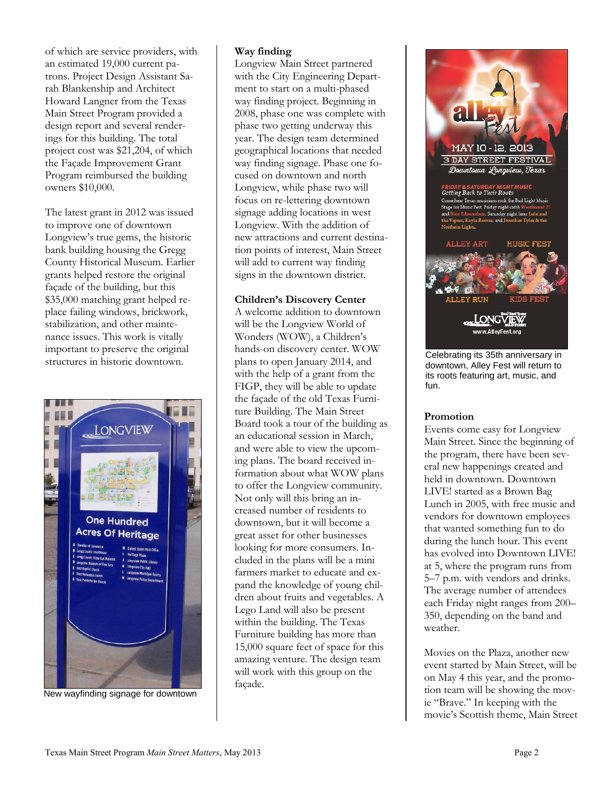of which are service providers, with an estimated 19,000 current patrons. Project Design Assistant Sarah Blankenship and Architect Howard Langner from the Texas Main Street Program provided a design report and several renderings for this building. The total project cost was \$21,204, of which the Façade Improvement Grant Program reimbursed the building owners \$10,000.

The latest grant in 2012 was issued to improve one of downtown Longview's true gems, the historic bank building housing the Gregg County Historical Museum. Earlier grants helped restore the original façade of the building, but this \$35,000 matching grant helped replace failing windows, brickwork, stabilization, and other maintenance issues. This work is vitally important to preserve the original structures in historic downtown.



New wayfinding signage for downtown

#### **Way finding**

Longview Main Street partnered with the City Engineering Department to start on a multi-phased way finding project. Beginning in 2008, phase one was complete with phase two getting underway this year. The design team determined geographical locations that needed way finding signage. Phase one focused on downtown and north Longview, while phase two will focus on re-lettering downtown signage adding locations in west Longview. With the addition of new attractions and current destination points of interest, Main Street will add to current way finding signs in the downtown district.

#### **Children's Discovery Center**

A welcome addition to downtown will be the Longview World of Wonders (WOW), a Children's hands-on discovery center. WOW plans to open January 2014, and with the help of a grant from the FIGP, they will be able to update the façade of the old Texas Furniture Building. The Main Street Board took a tour of the building as an educational session in March, and were able to view the upcoming plans. The board received information about what WOW plans to offer the Longview community. Not only will this bring an increased number of residents to downtown, but it will become a great asset for other businesses looking for more consumers. Included in the plans will be a mini farmers market to educate and expand the knowledge of young children about fruits and vegetables. A Lego Land will also be present within the building. The Texas Furniture building has more than 15,000 square feet of space for this amazing venture. The design team will work with this group on the façade.



Celebrating its 35th anniversary in downtown, Alley Fest will return to its roots featuring art, music, and fun.

#### **Promotion**

Events come easy for Longview Main Street. Since the beginning of the program, there have been several new happenings created and held in downtown. Downtown LIVE! started as a Brown Bag Lunch in 2005, with free music and vendors for downtown employees that wanted something fun to do during the lunch hour. This event has evolved into Downtown LIVE! at 5, where the program runs from 5–7 p.m. with vendors and drinks. The average number of attendees each Friday night ranges from 200– 350, depending on the band and weather.

Movies on the Plaza, another new event started by Main Street, will be on May 4 this year, and the promotion team will be showing the movie "Brave." In keeping with the movie's Scottish theme, Main Street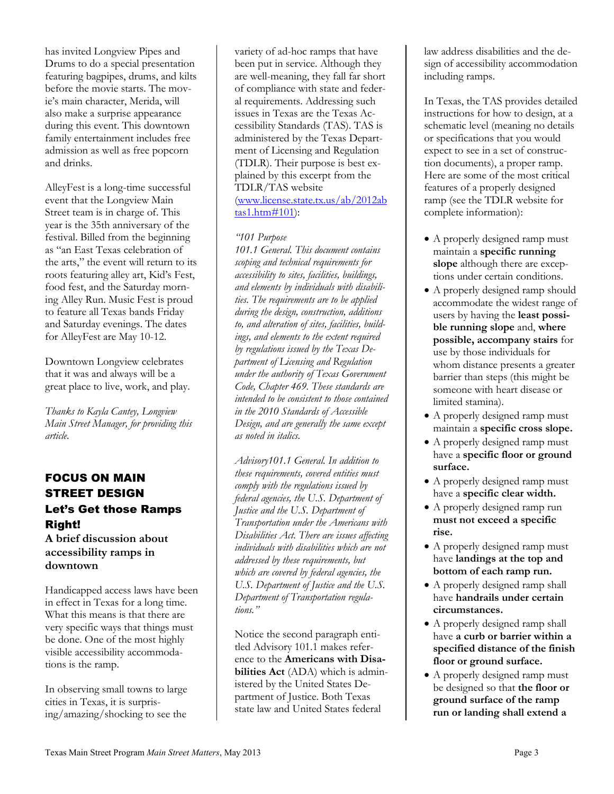has invited Longview Pipes and Drums to do a special presentation featuring bagpipes, drums, and kilts before the movie starts. The movie's main character, Merida, will also make a surprise appearance during this event. This downtown family entertainment includes free admission as well as free popcorn and drinks.

AlleyFest is a long-time successful event that the Longview Main Street team is in charge of. This year is the 35th anniversary of the festival. Billed from the beginning as "an East Texas celebration of the arts," the event will return to its roots featuring alley art, Kid's Fest, food fest, and the Saturday morning Alley Run. Music Fest is proud to feature all Texas bands Friday and Saturday evenings. The dates for AlleyFest are May 10-12.

Downtown Longview celebrates that it was and always will be a great place to live, work, and play.

*Thanks to Kayla Cantey, Longview Main Street Manager, for providing this article.*

# FOCUS ON MAIN STREET DESIGN Let's Get those Ramps Right!

**A brief discussion about accessibility ramps in downtown**

Handicapped access laws have been in effect in Texas for a long time. What this means is that there are very specific ways that things must be done. One of the most highly visible accessibility accommodations is the ramp.

In observing small towns to large cities in Texas, it is surprising/amazing/shocking to see the

variety of ad-hoc ramps that have been put in service. Although they are well-meaning, they fall far short of compliance with state and federal requirements. Addressing such issues in Texas are the Texas Accessibility Standards (TAS). TAS is administered by the Texas Department of Licensing and Regulation (TDLR). Their purpose is best explained by this excerpt from the TDLR/TAS website

[\(www.license.state.tx.us/ab/2012ab](http://www.license.state.tx.us/ab/2012abtas1.htm#101) [tas1.htm#101\)](http://www.license.state.tx.us/ab/2012abtas1.htm#101):

#### *"101 Purpose*

*101.1 General. This document contains scoping and technical requirements for accessibility to sites, facilities, buildings, and elements by individuals with disabilities. The requirements are to be applied during the design, construction, additions to, and alteration of sites, facilities, buildings, and elements to the extent required by regulations issued by the Texas Department of Licensing and Regulation under the authority of Texas Government Code, Chapter 469. These standards are intended to be consistent to those contained in the 2010 Standards of Accessible Design, and are generally the same except as noted in italics.*

*Advisory101.1 General. In addition to these requirements, covered entities must comply with the regulations issued by federal agencies, the U.S. Department of Justice and the U.S. Department of Transportation under the Americans with Disabilities Act. There are issues affecting individuals with disabilities which are not addressed by these requirements, but which are covered by federal agencies, the U.S. Department of Justice and the U.S. Department of Transportation regulations."*

Notice the second paragraph entitled Advisory 101.1 makes reference to the **Americans with Disabilities Act** (ADA) which is administered by the United States Department of Justice. Both Texas state law and United States federal

law address disabilities and the design of accessibility accommodation including ramps.

In Texas, the TAS provides detailed instructions for how to design, at a schematic level (meaning no details or specifications that you would expect to see in a set of construction documents), a proper ramp. Here are some of the most critical features of a properly designed ramp (see the TDLR website for complete information):

- A properly designed ramp must maintain a **specific running slope** although there are exceptions under certain conditions.
- A properly designed ramp should accommodate the widest range of users by having the **least possible running slope** and, **where possible, accompany stairs** for use by those individuals for whom distance presents a greater barrier than steps (this might be someone with heart disease or limited stamina).
- A properly designed ramp must maintain a **specific cross slope.**
- A properly designed ramp must have a **specific floor or ground surface.**
- A properly designed ramp must have a **specific clear width.**
- A properly designed ramp run **must not exceed a specific rise.**
- A properly designed ramp must have **landings at the top and bottom of each ramp run.**
- A properly designed ramp shall have **handrails under certain circumstances.**
- A properly designed ramp shall have **a curb or barrier within a specified distance of the finish floor or ground surface.**
- A properly designed ramp must be designed so that **the floor or ground surface of the ramp run or landing shall extend a**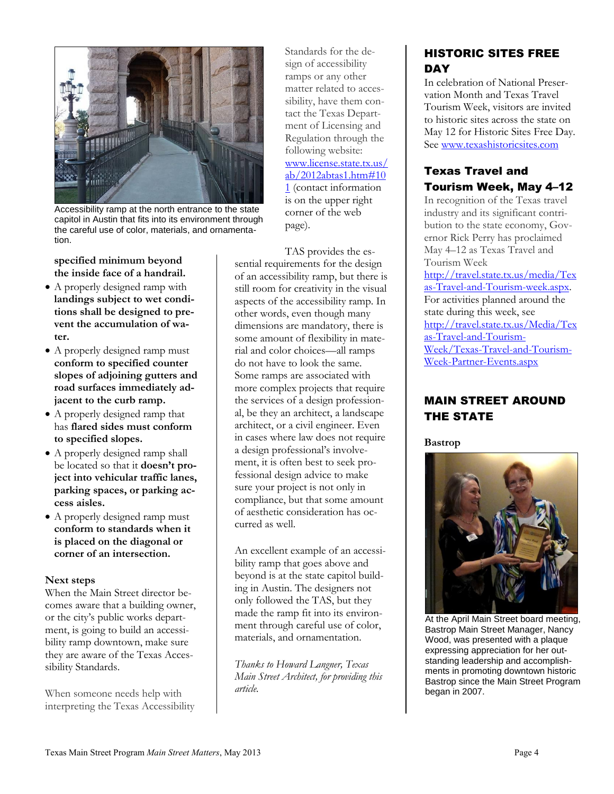

Accessibility ramp at the north entrance to the state capitol in Austin that fits into its environment through the careful use of color, materials, and ornamentation.

**specified minimum beyond the inside face of a handrail.**

- A properly designed ramp with **landings subject to wet conditions shall be designed to prevent the accumulation of water.**
- A properly designed ramp must **conform to specified counter slopes of adjoining gutters and road surfaces immediately adjacent to the curb ramp.**
- A properly designed ramp that has **flared sides must conform to specified slopes.**
- A properly designed ramp shall be located so that it **doesn't project into vehicular traffic lanes, parking spaces, or parking access aisles.**
- A properly designed ramp must **conform to standards when it is placed on the diagonal or corner of an intersection.**

#### **Next steps**

When the Main Street director becomes aware that a building owner, or the city's public works department, is going to build an accessibility ramp downtown, make sure they are aware of the Texas Accessibility Standards.

When someone needs help with interpreting the Texas Accessibility Standards for the design of accessibility ramps or any other matter related to accessibility, have them contact the Texas Department of Licensing and Regulation through the following website: [www.license.state.tx.us/](http://www.license.state.tx.us/ab/2012abtas1.htm#101) [ab/2012abtas1.htm#10](http://www.license.state.tx.us/ab/2012abtas1.htm#101) [1](http://www.license.state.tx.us/ab/2012abtas1.htm#101) (contact information is on the upper right corner of the web page).

TAS provides the essential requirements for the design of an accessibility ramp, but there is still room for creativity in the visual aspects of the accessibility ramp. In other words, even though many dimensions are mandatory, there is some amount of flexibility in material and color choices—all ramps do not have to look the same. Some ramps are associated with more complex projects that require the services of a design professional, be they an architect, a landscape architect, or a civil engineer. Even in cases where law does not require a design professional's involvement, it is often best to seek professional design advice to make sure your project is not only in compliance, but that some amount of aesthetic consideration has occurred as well.

An excellent example of an accessibility ramp that goes above and beyond is at the state capitol building in Austin. The designers not only followed the TAS, but they made the ramp fit into its environment through careful use of color, materials, and ornamentation.

*Thanks to Howard Langner, Texas Main Street Architect, for providing this article.*

# HISTORIC SITES FREE **DAY**

In celebration of National Preservation Month and Texas Travel Tourism Week, visitors are invited to historic sites across the state on May 12 for Historic Sites Free Day. See [www.texashistoricsites.com](http://www.texashistoricsites.com/)

## Texas Travel and Tourism Week, May 4–12

In recognition of the Texas travel industry and its significant contribution to the state economy, Governor Rick Perry has proclaimed May 4–12 as Texas Travel and Tourism Week [http://travel.state.tx.us/media/Tex](http://travel.state.tx.us/media/Texas-Travel-and-Tourism-week.aspx) [as-Travel-and-Tourism-week.aspx.](http://travel.state.tx.us/media/Texas-Travel-and-Tourism-week.aspx) For activities planned around the state during this week, see [http://travel.state.tx.us/Media/Tex](http://travel.state.tx.us/Media/Texas-Travel-and-Tourism-Week/Texas-Travel-and-Tourism-Week-Partner-Events.aspx) [as-Travel-and-Tourism-](http://travel.state.tx.us/Media/Texas-Travel-and-Tourism-Week/Texas-Travel-and-Tourism-Week-Partner-Events.aspx)[Week/Texas-Travel-and-Tourism-](http://travel.state.tx.us/Media/Texas-Travel-and-Tourism-Week/Texas-Travel-and-Tourism-Week-Partner-Events.aspx)[Week-Partner-Events.aspx](http://travel.state.tx.us/Media/Texas-Travel-and-Tourism-Week/Texas-Travel-and-Tourism-Week-Partner-Events.aspx)

# MAIN STREET AROUND THE STATE

**Bastrop**



At the April Main Street board meeting, Bastrop Main Street Manager, Nancy Wood, was presented with a plaque expressing appreciation for her outstanding leadership and accomplishments in promoting downtown historic Bastrop since the Main Street Program began in 2007.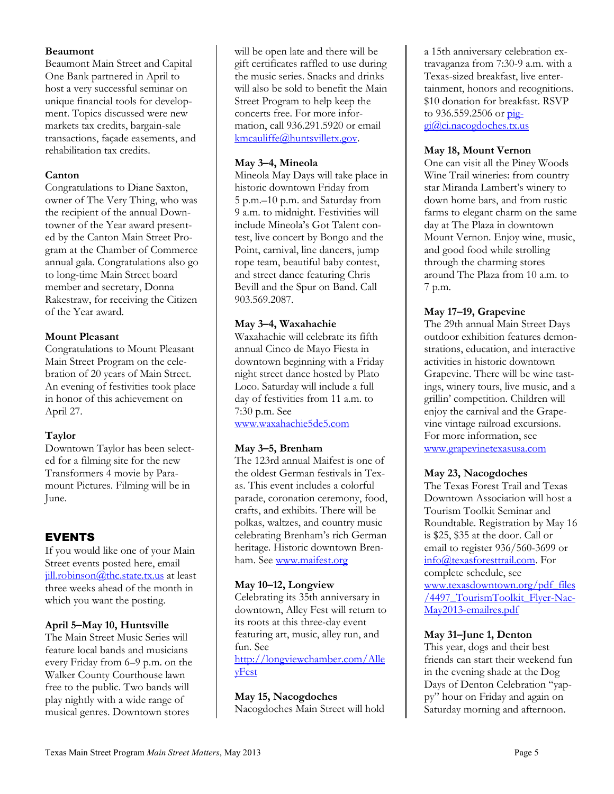#### **Beaumont**

Beaumont Main Street and Capital One Bank partnered in April to host a very successful seminar on unique financial tools for development. Topics discussed were new markets tax credits, bargain-sale transactions, façade easements, and rehabilitation tax credits.

#### **Canton**

Congratulations to Diane Saxton, owner of The Very Thing, who was the recipient of the annual Downtowner of the Year award presented by the Canton Main Street Program at the Chamber of Commerce annual gala. Congratulations also go to long-time Main Street board member and secretary, Donna Rakestraw, for receiving the Citizen of the Year award.

#### **Mount Pleasant**

Congratulations to Mount Pleasant Main Street Program on the celebration of 20 years of Main Street. An evening of festivities took place in honor of this achievement on April 27.

#### **Taylor**

Downtown Taylor has been selected for a filming site for the new Transformers 4 movie by Paramount Pictures. Filming will be in June.

# EVENTS

If you would like one of your Main Street events posted here, email iill.robinson@thc.state.tx.us at least three weeks ahead of the month in which you want the posting.

#### **April 5–May 10, Huntsville**

The Main Street Music Series will feature local bands and musicians every Friday from 6–9 p.m. on the Walker County Courthouse lawn free to the public. Two bands will play nightly with a wide range of musical genres. Downtown stores

will be open late and there will be gift certificates raffled to use during the music series. Snacks and drinks will also be sold to benefit the Main Street Program to help keep the concerts free. For more information, call 936.291.5920 or email [kmcauliffe@huntsvilletx.gov.](mailto:kmcauliffe@huntsvilletx.gov)

#### **May 3–4, Mineola**

Mineola May Days will take place in historic downtown Friday from 5 p.m.–10 p.m. and Saturday from 9 a.m. to midnight. Festivities will include Mineola's Got Talent contest, live concert by Bongo and the Point, carnival, line dancers, jump rope team, beautiful baby contest, and street dance featuring Chris Bevill and the Spur on Band. Call 903.569.2087.

#### **May 3–4, Waxahachie**

Waxahachie will celebrate its fifth annual Cinco de Mayo Fiesta in downtown beginning with a Friday night street dance hosted by Plato Loco. Saturday will include a full day of festivities from 11 a.m. to 7:30 p.m. See

[www.waxahachie5de5.com](http://www.waxahachie5de5.com/)

#### **May 3–5, Brenham**

The 123rd annual Maifest is one of the oldest German festivals in Texas. This event includes a colorful parade, coronation ceremony, food, crafts, and exhibits. There will be polkas, waltzes, and country music celebrating Brenham's rich German heritage. Historic downtown Brenham. See www.maifest.org

#### **May 10–12, Longview**

Celebrating its 35th anniversary in downtown, Alley Fest will return to its roots at this three-day event featuring art, music, alley run, and fun. See [http://longviewchamber.com/Alle](http://longviewchamber.com/AlleyFest)

[yFest](http://longviewchamber.com/AlleyFest)

#### **May 15, Nacogdoches**

Nacogdoches Main Street will hold

a 15th anniversary celebration extravaganza from 7:30-9 a.m. with a Texas-sized breakfast, live entertainment, honors and recognitions. \$10 donation for breakfast. RSVP to  $936.559.2506$  or  $pi$ [gi@ci.nacogdoches.tx.us](mailto:piggi@ci.nacogdoches.tx.us)

#### **May 18, Mount Vernon**

One can visit all the Piney Woods Wine Trail wineries: from country star Miranda Lambert's winery to down home bars, and from rustic farms to elegant charm on the same day at The Plaza in downtown Mount Vernon. Enjoy wine, music, and good food while strolling through the charming stores around The Plaza from 10 a.m. to 7 p.m.

### **May 17–19, Grapevine**

The 29th annual Main Street Days outdoor exhibition features demonstrations, education, and interactive activities in historic downtown Grapevine. There will be wine tastings, winery tours, live music, and a grillin' competition. Children will enjoy the carnival and the Grapevine vintage railroad excursions. For more information, see [www.grapevinetexasusa.com](http://www.grapevinetexasusa.com/) 

#### **May 23, Nacogdoches**

The Texas Forest Trail and Texas Downtown Association will host a Tourism Toolkit Seminar and Roundtable. Registration by May 16 is \$25, \$35 at the door. Call or email to register 936/560-3699 or [info@texasforesttrail.com.](mailto:info@texasforesttrail.com) For complete schedule, see [www.texasdowntown.org/pdf\\_files](http://www.texasdowntown.org/pdf_files/4497_TourismToolkit_Flyer-Nac-May2013-emailres.pdf) /4497 TourismToolkit\_Flyer-Nac-[May2013-emailres.pdf](http://www.texasdowntown.org/pdf_files/4497_TourismToolkit_Flyer-Nac-May2013-emailres.pdf)

#### **May 31–June 1, Denton**

This year, dogs and their best friends can start their weekend fun in the evening shade at the Dog Days of Denton Celebration "yappy" hour on Friday and again on Saturday morning and afternoon.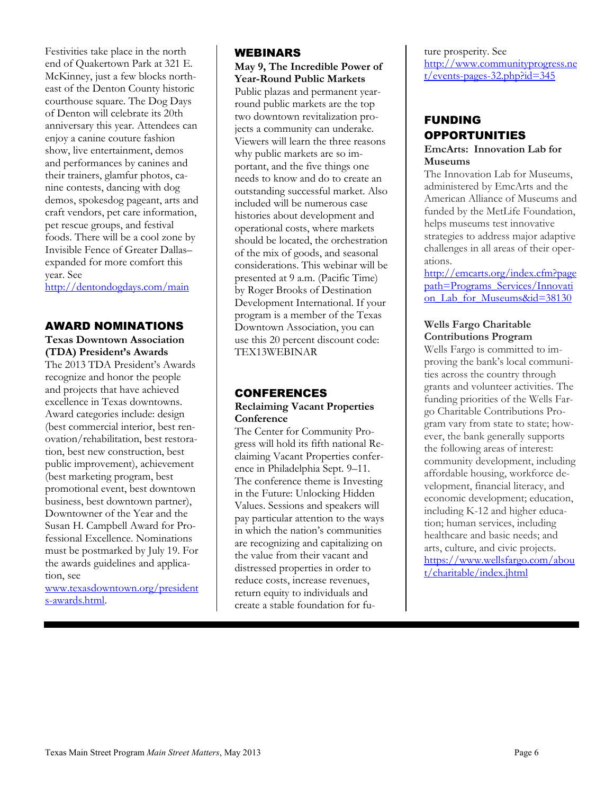Festivities take place in the north end of Quakertown Park at 321 E. McKinney, just a few blocks northeast of the Denton County historic courthouse square. The Dog Days of Denton will celebrate its 20th anniversary this year. Attendees can enjoy a canine couture fashion show, live entertainment, demos and performances by canines and their trainers, glamfur photos, canine contests, dancing with dog demos, spokesdog pageant, arts and craft vendors, pet care information, pet rescue groups, and festival foods. There will be a cool zone by Invisible Fence of Greater Dallas– expanded for more comfort this year. See

<http://dentondogdays.com/main>

#### AWARD NOMINATIONS

**Texas Downtown Association (TDA) President's Awards** The 2013 TDA President's Awards recognize and honor the people and projects that have achieved excellence in Texas downtowns. Award categories include: design (best commercial interior, best renovation/rehabilitation, best restoration, best new construction, best public improvement), achievement (best marketing program, best promotional event, best downtown business, best downtown partner), Downtowner of the Year and the Susan H. Campbell Award for Professional Excellence. Nominations must be postmarked by July 19. For the awards guidelines and application, see

[www.texasdowntown.org/president](http://www.texasdowntown.org/presidents-awards.html) [s-awards.html.](http://www.texasdowntown.org/presidents-awards.html)

#### WEBINARS

**May 9, The Incredible Power of Year-Round Public Markets** Public plazas and permanent yearround public markets are the top two downtown revitalization projects a community can underake. Viewers will learn the three reasons why public markets are so important, and the five things one needs to know and do to create an outstanding successful market. Also included will be numerous case histories about development and operational costs, where markets should be located, the orchestration of the mix of goods, and seasonal considerations. This webinar will be presented at 9 a.m. (Pacific Time) by Roger Brooks of Destination Development International. If your program is a member of the Texas Downtown Association, you can use this 20 percent discount code: TEX13WEBINAR

# CONFERENCES

#### **Reclaiming Vacant Properties Conference**

The Center for Community Progress will hold its fifth national Reclaiming Vacant Properties conference in Philadelphia Sept. 9–11. The conference theme is Investing in the Future: Unlocking Hidden Values. Sessions and speakers will pay particular attention to the ways in which the nation's communities are recognizing and capitalizing on the value from their vacant and distressed properties in order to reduce costs, increase revenues, return equity to individuals and create a stable foundation for future prosperity. See [http://www.communityprogress.ne](http://www.communityprogress.net/events-pages-32.php?id=345)  $t/events$ -pages-32.php?id=345

#### FUNDING **OPPORTUNITIES EmcArts: Innovation Lab for**

# **Museums**

The Innovation Lab for Museums, administered by EmcArts and the American Alliance of Museums and funded by the MetLife Foundation, helps museums test innovative strategies to address major adaptive challenges in all areas of their operations.

[http://emcarts.org/index.cfm?page](http://emcarts.org/index.cfm?pagepath=Programs_Services/Innovation_Lab_for_Museums&id=38130) [path=Programs\\_Services/Innovati](http://emcarts.org/index.cfm?pagepath=Programs_Services/Innovation_Lab_for_Museums&id=38130) on Lab for Museums&id=38130

#### **Wells Fargo Charitable Contributions Program**

Wells Fargo is committed to improving the bank's local communities across the country through grants and volunteer activities. The funding priorities of the Wells Fargo Charitable Contributions Program vary from state to state; however, the bank generally supports the following areas of interest: community development, including affordable housing, workforce development, financial literacy, and economic development; education, including K-12 and higher education; human services, including healthcare and basic needs; and arts, culture, and civic projects. [https://www.wellsfargo.com/abou](https://www.wellsfargo.com/about/charitable/index.jhtml) [t/charitable/index.jhtml](https://www.wellsfargo.com/about/charitable/index.jhtml)